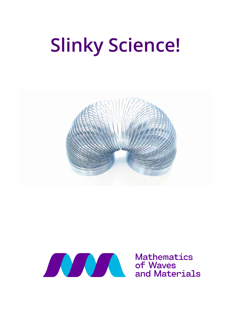# **Slinky Science!**





**Mathematics** and Materials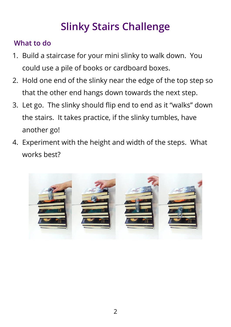# **Slinky Stairs Challenge**

## **What to do**

- 1. Build a staircase for your mini slinky to walk down. You could use a pile of books or cardboard boxes.
- 2. Hold one end of the slinky near the edge of the top step so that the other end hangs down towards the next step.
- 3. Let go. The slinky should flip end to end as it "walks" down the stairs. It takes practice, if the slinky tumbles, have another go!
- 4. Experiment with the height and width of the steps. What works best?

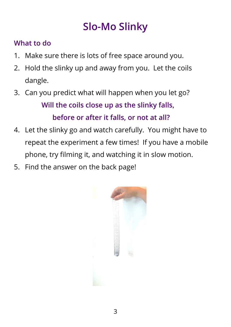# **Slo-Mo Slinky**

## **What to do**

- 1. Make sure there is lots of free space around you.
- 2. Hold the slinky up and away from you. Let the coils dangle.
- 3. Can you predict what will happen when you let go? **Will the coils close up as the slinky falls, before or after it falls, or not at all?**
- 4. Let the slinky go and watch carefully. You might have to repeat the experiment a few times! If you have a mobile phone, try filming it, and watching it in slow motion.
- 5. Find the answer on the back page!

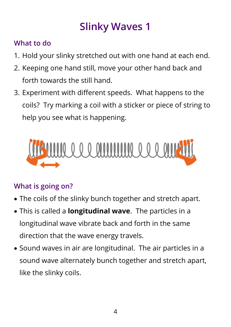# **Slinky Waves 1**

## **What to do**

- 1. Hold your slinky stretched out with one hand at each end.
- 2. Keeping one hand still, move your other hand back and forth towards the still hand.
- 3. Experiment with different speeds. What happens to the coils? Try marking a coil with a sticker or piece of string to help you see what is happening.



- The coils of the slinky bunch together and stretch apart.
- This is called a **longitudinal wave**. The particles in a longitudinal wave vibrate back and forth in the same direction that the wave energy travels.
- Sound waves in air are longitudinal. The air particles in a sound wave alternately bunch together and stretch apart, like the slinky coils.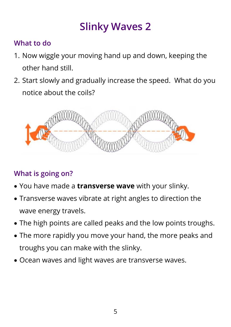# **Slinky Waves 2**

## **What to do**

- 1. Now wiggle your moving hand up and down, keeping the other hand still.
- 2. Start slowly and gradually increase the speed. What do you notice about the coils?



- You have made a **transverse wave** with your slinky.
- Transverse waves vibrate at right angles to direction the wave energy travels.
- The high points are called peaks and the low points troughs.
- The more rapidly you move your hand, the more peaks and troughs you can make with the slinky.
- Ocean waves and light waves are transverse waves.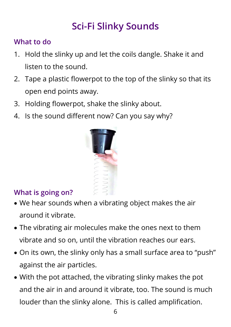# **Sci-Fi Slinky Sounds**

### **What to do**

- 1. Hold the slinky up and let the coils dangle. Shake it and listen to the sound.
- 2. Tape a plastic flowerpot to the top of the slinky so that its open end points away.
- 3. Holding flowerpot, shake the slinky about.
- 4. Is the sound different now? Can you say why?



- We hear sounds when a vibrating object makes the air around it vibrate.
- The vibrating air molecules make the ones next to them vibrate and so on, until the vibration reaches our ears.
- On its own, the slinky only has a small surface area to "push" against the air particles.
- With the pot attached, the vibrating slinky makes the pot and the air in and around it vibrate, too. The sound is much louder than the slinky alone. This is called amplification.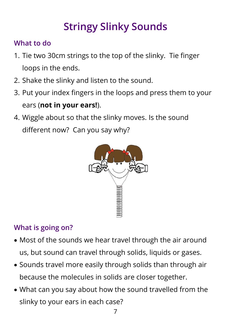# **Stringy Slinky Sounds**

## **What to do**

- 1. Tie two 30cm strings to the top of the slinky. Tie finger loops in the ends.
- 2. Shake the slinky and listen to the sound.
- 3. Put your index fingers in the loops and press them to your ears (**not in your ears!**).
- 4. Wiggle about so that the slinky moves. Is the sound different now? Can you say why?



- Most of the sounds we hear travel through the air around us, but sound can travel through solids, liquids or gases.
- Sounds travel more easily through solids than through air because the molecules in solids are closer together.
- What can you say about how the sound travelled from the slinky to your ears in each case?